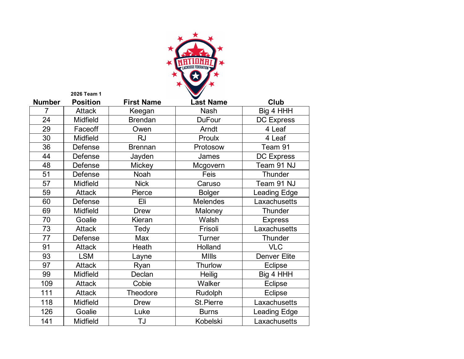

| <b>Number</b> | <b>Position</b> | <b>First Name</b> | <b>Last Name</b> | Club                |
|---------------|-----------------|-------------------|------------------|---------------------|
| 7             | <b>Attack</b>   | Keegan            | <b>Nash</b>      | Big 4 HHH           |
| 24            | Midfield        | <b>Brendan</b>    | <b>DuFour</b>    | <b>DC Express</b>   |
| 29            | Faceoff         | Owen              | Arndt            | 4 Leaf              |
| 30            | Midfield        | <b>RJ</b>         | Proulx           | 4 Leaf              |
| 36            | Defense         | <b>Brennan</b>    | Protosow         | Team 91             |
| 44            | Defense         | Jayden            | James            | <b>DC Express</b>   |
| 48            | Defense         | <b>Mickey</b>     | Mcgovern         | Team 91 NJ          |
| 51            | Defense         | Noah              | Feis             | Thunder             |
| 57            | <b>Midfield</b> | <b>Nick</b>       | Caruso           | Team 91 NJ          |
| 59            | <b>Attack</b>   | Pierce            | <b>Bolger</b>    | Leading Edge        |
| 60            | Defense         | Eli               | <b>Melendes</b>  | Laxachusetts        |
| 69            | <b>Midfield</b> | <b>Drew</b>       | Maloney          | Thunder             |
| 70            | Goalie          | Kieran            | Walsh            | <b>Express</b>      |
| 73            | <b>Attack</b>   | Tedy              | Frisoli          | Laxachusetts        |
| 77            | Defense         | Max               | Turner           | Thunder             |
| 91            | <b>Attack</b>   | Heath             | Holland          | <b>VLC</b>          |
| 93            | <b>LSM</b>      | Layne             | <b>MIIIs</b>     | <b>Denver Elite</b> |
| 97            | <b>Attack</b>   | Ryan              | Thurlow          | Eclipse             |
| 99            | Midfield        | Declan            | Heilig           | Big 4 HHH           |
| 109           | <b>Attack</b>   | Cobie             | Walker           | Eclipse             |
| 111           | <b>Attack</b>   | Theodore          | Rudolph          | Eclipse             |
| 118           | Midfield        | <b>Drew</b>       | <b>St.Pierre</b> | Laxachusetts        |
| 126           | Goalie          | Luke              | <b>Burns</b>     | <b>Leading Edge</b> |
| 141           | <b>Midfield</b> | TJ                | Kobelski         | Laxachusetts        |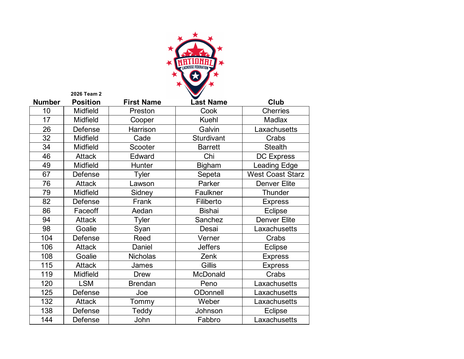

| <b>Number</b> | <b>Position</b> | <b>First Name</b> | <b>Last Name</b> | Club                    |
|---------------|-----------------|-------------------|------------------|-------------------------|
| 10            | Midfield        | Preston           | Cook             | <b>Cherries</b>         |
| 17            | <b>Midfield</b> | Cooper            | <b>Kuehl</b>     | Madlax                  |
| 26            | Defense         | Harrison          | Galvin           | Laxachusetts            |
| 32            | Midfield        | Cade              | Sturdivant       | Crabs                   |
| 34            | Midfield        | Scooter           | <b>Barrett</b>   | <b>Stealth</b>          |
| 46            | <b>Attack</b>   | Edward            | Chi              | <b>DC Express</b>       |
| 49            | Midfield        | Hunter            | <b>Bigham</b>    | Leading Edge            |
| 67            | Defense         | <b>Tyler</b>      | Sepeta           | <b>West Coast Starz</b> |
| 76            | <b>Attack</b>   | Lawson            | Parker           | <b>Denver Elite</b>     |
| 79            | Midfield        | Sidney            | Faulkner         | <b>Thunder</b>          |
| 82            | Defense         | Frank             | Filiberto        | <b>Express</b>          |
| 86            | Faceoff         | Aedan             | <b>Bishai</b>    | <b>Eclipse</b>          |
| 94            | <b>Attack</b>   | Tyler             | Sanchez          | <b>Denver Elite</b>     |
| 98            | Goalie          | Syan              | Desai            | Laxachusetts            |
| 104           | Defense         | Reed              | Verner           | Crabs                   |
| 106           | <b>Attack</b>   | Daniel            | <b>Jeffers</b>   | <b>Eclipse</b>          |
| 108           | Goalie          | <b>Nicholas</b>   | Zenk             | <b>Express</b>          |
| 115           | <b>Attack</b>   | James             | Gillis           | <b>Express</b>          |
| 119           | Midfield        | <b>Drew</b>       | McDonald         | Crabs                   |
| 120           | <b>LSM</b>      | <b>Brendan</b>    | Peno             | Laxachusetts            |
| 125           | Defense         | Joe               | ODonnell         | Laxachusetts            |
| 132           | <b>Attack</b>   | Tommy             | Weber            | Laxachusetts            |
| 138           | Defense         | Teddy             | Johnson          | <b>Eclipse</b>          |
| 144           | Defense         | John              | Fabbro           | Laxachusetts            |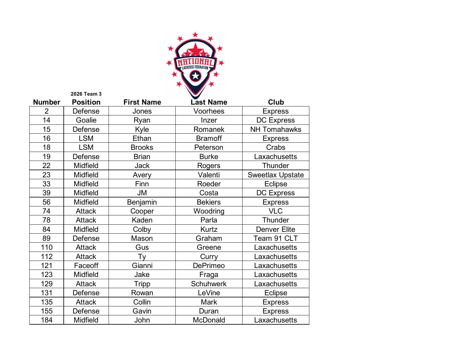

| <b>Number</b>  | <b>Position</b> | <b>First Name</b> | <b>Last Name</b> | Club                    |
|----------------|-----------------|-------------------|------------------|-------------------------|
| $\overline{2}$ | Defense         | Jones             | Voorhees         | <b>Express</b>          |
| 14             | Goalie          | Ryan              | Inzer            | <b>DC Express</b>       |
| 15             | Defense         | Kyle              | Romanek          | <b>NH Tomahawks</b>     |
| 16             | <b>LSM</b>      | Ethan             | <b>Bramoff</b>   | <b>Express</b>          |
| 18             | <b>LSM</b>      | <b>Brooks</b>     | Peterson         | Crabs                   |
| 19             | Defense         | <b>Brian</b>      | <b>Burke</b>     | Laxachusetts            |
| 22             | Midfield        | <b>Jack</b>       | Rogers           | Thunder                 |
| 23             | <b>Midfield</b> | Avery             | Valenti          | <b>Sweetlax Upstate</b> |
| 33             | <b>Midfield</b> | Finn              | Roeder           | Eclipse                 |
| 39             | <b>Midfield</b> | <b>JM</b>         | Costa            | <b>DC Express</b>       |
| 56             | Midfield        | Benjamin          | <b>Bekiers</b>   | <b>Express</b>          |
| 74             | <b>Attack</b>   | Cooper            | Woodring         | <b>VLC</b>              |
| 78             | <b>Attack</b>   | Kaden             | Parla            | Thunder                 |
| 84             | Midfield        | Colby             | Kurtz            | <b>Denver Elite</b>     |
| 89             | Defense         | Mason             | Graham           | Team 91 CLT             |
| 110            | <b>Attack</b>   | Gus               | Greene           | Laxachusetts            |
| 112            | <b>Attack</b>   | Ty                | Curry            | Laxachusetts            |
| 121            | Faceoff         | Gianni            | <b>DePrimeo</b>  | Laxachusetts            |
| 123            | <b>Midfield</b> | Jake              | Fraga            | Laxachusetts            |
| 129            | <b>Attack</b>   | <b>Tripp</b>      | <b>Schuhwerk</b> | Laxachusetts            |
| 131            | Defense         | Rowan             | LeVine           | Eclipse                 |
| 135            | <b>Attack</b>   | Collin            | Mark             | <b>Express</b>          |
| 155            | Defense         | Gavin             | Duran            | <b>Express</b>          |
| 184            | <b>Midfield</b> | John              | McDonald         | Laxachusetts            |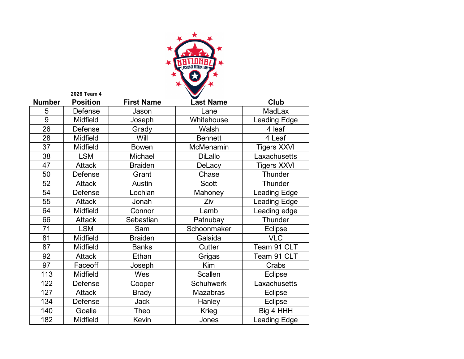

| <b>Number</b> | <b>Position</b> | <b>First Name</b> | <b>Last Name</b> | Club                |
|---------------|-----------------|-------------------|------------------|---------------------|
| 5             | Defense         | Jason             | Lane             | <b>MadLax</b>       |
| 9             | <b>Midfield</b> | Joseph            | Whitehouse       | <b>Leading Edge</b> |
| 26            | Defense         | Grady             | Walsh            | 4 leaf              |
| 28            | Midfield        | Will              | <b>Bennett</b>   | 4 Leaf              |
| 37            | <b>Midfield</b> | <b>Bowen</b>      | McMenamin        | <b>Tigers XXVI</b>  |
| 38            | <b>LSM</b>      | Michael           | <b>DiLallo</b>   | Laxachusetts        |
| 47            | <b>Attack</b>   | <b>Braiden</b>    | DeLacy           | <b>Tigers XXVI</b>  |
| 50            | Defense         | Grant             | Chase            | Thunder             |
| 52            | <b>Attack</b>   | Austin            | <b>Scott</b>     | Thunder             |
| 54            | Defense         | Lochlan           | Mahoney          | Leading Edge        |
| 55            | <b>Attack</b>   | Jonah             | Ziv              | Leading Edge        |
| 64            | <b>Midfield</b> | Connor            | Lamb             | Leading edge        |
| 66            | <b>Attack</b>   | Sebastian         | Patnubay         | Thunder             |
| 71            | <b>LSM</b>      | Sam               | Schoonmaker      | Eclipse             |
| 81            | <b>Midfield</b> | <b>Braiden</b>    | Galaida          | <b>VLC</b>          |
| 87            | Midfield        | <b>Banks</b>      | Cutter           | Team 91 CLT         |
| 92            | <b>Attack</b>   | Ethan             | Grigas           | Team 91 CLT         |
| 97            | Faceoff         | Joseph            | Kim              | Crabs               |
| 113           | <b>Midfield</b> | Wes               | Scallen          | Eclipse             |
| 122           | Defense         | Cooper            | <b>Schuhwerk</b> | Laxachusetts        |
| 127           | <b>Attack</b>   | <b>Brady</b>      | <b>Mazabras</b>  | Eclipse             |
| 134           | Defense         | <b>Jack</b>       | Hanley           | Eclipse             |
| 140           | Goalie          | Theo              | Krieg            | Big 4 HHH           |
| 182           | <b>Midfield</b> | Kevin             | Jones            | Leading Edge        |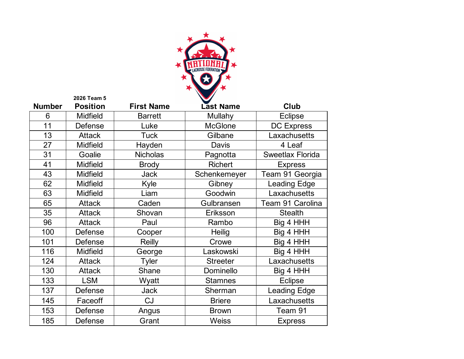

|               | 2026 Team 5     |                   |                  |                     |
|---------------|-----------------|-------------------|------------------|---------------------|
| <b>Number</b> | <b>Position</b> | <b>First Name</b> | <b>Last Name</b> | Club                |
| 6             | <b>Midfield</b> | <b>Barrett</b>    | Mullahy          | <b>Eclipse</b>      |
| 11            | Defense         | Luke              | <b>McGlone</b>   | <b>DC Express</b>   |
| 13            | <b>Attack</b>   | <b>Tuck</b>       | Gilbane          | Laxachusetts        |
| 27            | <b>Midfield</b> | Hayden            | <b>Davis</b>     | 4 Leaf              |
| 31            | Goalie          | <b>Nicholas</b>   | Pagnotta         | Sweetlax Florida    |
| 41            | <b>Midfield</b> | <b>Brody</b>      | <b>Richert</b>   | <b>Express</b>      |
| 43            | <b>Midfield</b> | <b>Jack</b>       | Schenkemeyer     | Team 91 Georgia     |
| 62            | <b>Midfield</b> | Kyle              | Gibney           | <b>Leading Edge</b> |
| 63            | <b>Midfield</b> | Liam              | Goodwin          | Laxachusetts        |
| 65            | <b>Attack</b>   | Caden             | Gulbransen       | Team 91 Carolina    |
| 35            | <b>Attack</b>   | Shovan            | Eriksson         | <b>Stealth</b>      |
| 96            | <b>Attack</b>   | Paul              | Rambo            | Big 4 HHH           |
| 100           | Defense         | Cooper            | Heilig           | Big 4 HHH           |
| 101           | Defense         | <b>Reilly</b>     | Crowe            | Big 4 HHH           |
| 116           | <b>Midfield</b> | George            | Laskowski        | Big 4 HHH           |
| 124           | <b>Attack</b>   | Tyler             | <b>Streeter</b>  | Laxachusetts        |
| 130           | <b>Attack</b>   | Shane             | Dominello        | Big 4 HHH           |
| 133           | <b>LSM</b>      | Wyatt             | <b>Stamnes</b>   | <b>Eclipse</b>      |
| 137           | Defense         | <b>Jack</b>       | Sherman          | <b>Leading Edge</b> |
| 145           | Faceoff         | <b>CJ</b>         | <b>Briere</b>    | Laxachusetts        |
| 153           | Defense         | Angus             | <b>Brown</b>     | Team 91             |
| 185           | Defense         | Grant             | <b>Weiss</b>     | <b>Express</b>      |